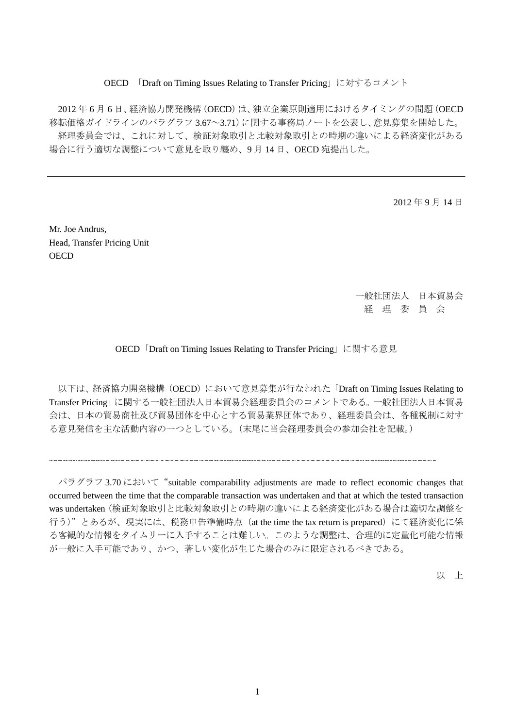#### OECD 「Draft on Timing Issues Relating to Transfer Pricing」に対するコメント

2012 年 6 月 6 日、経済協力開発機構(OECD)は、独立企業原則適用におけるタイミングの問題(OECD 移転価格ガイドラインのパラグラフ 3.67~3.71)に関する事務局ノートを公表し、意見募集を開始した。 経理委員会では、これに対して、検証対象取引と比較対象取引との時期の違いによる経済変化がある 場合に行う適切な調整について意見を取り纏め、9 月 14 日、OECD 宛提出した。

2012 年 9 月 14 日

Mr. Joe Andrus, Head, Transfer Pricing Unit **OECD** 

> 一般社団法人 日本貿易会 経 理 委 員 会

OECD「Draft on Timing Issues Relating to Transfer Pricing」に関する意見

以下は、経済協力開発機構 (OECD)において意見募集が行なわれた「Draft on Timing Issues Relating to Transfer Pricing」に関する一般社団法人日本貿易会経理委員会のコメントである。一般社団法人日本貿易 会は、日本の貿易商社及び貿易団体を中心とする貿易業界団体であり、経理委員会は、各種税制に対す る意見発信を主な活動内容の一つとしている。(末尾に当会経理委員会の参加会社を記載。)

パラグラフ 3.70 において "suitable comparability adjustments are made to reflect economic changes that occurred between the time that the comparable transaction was undertaken and that at which the tested transaction was undertaken(検証対象取引と比較対象取引との時期の違いによる経済変化がある場合は適切な調整を 行う)"とあるが、現実には、税務申告準備時点 (at the time the tax return is prepared)にて経済変化に係 る客観的な情報をタイムリーに入手することは難しい。このような調整は、合理的に定量化可能な情報 が一般に入手可能であり、かつ、著しい変化が生じた場合のみに限定されるべきである。

以 上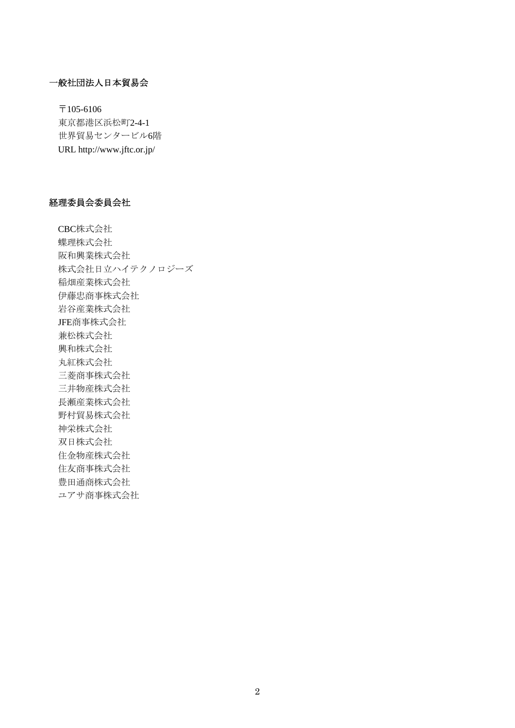# 一般社団法人日本貿易会

〒105-6106 東京都港区浜松町2-4-1 世界貿易センタービル6階 URL http://www.jftc.or.jp/

### 経理委員会委員会社

CBC株式会社 蝶理株式会社 阪和興業株式会社 株式会社日立ハイテクノロジーズ 稲畑産業株式会社 伊藤忠商事株式会社 岩谷産業株式会社 JFE商事株式会社 兼松株式会社 興和株式会社 丸紅株式会社 三菱商事株式会社 三井物産株式会社 長瀬産業株式会社 野村貿易株式会社 神栄株式会社 双日株式会社 住金物産株式会社 住友商事株式会社 豊田通商株式会社 ユアサ商事株式会社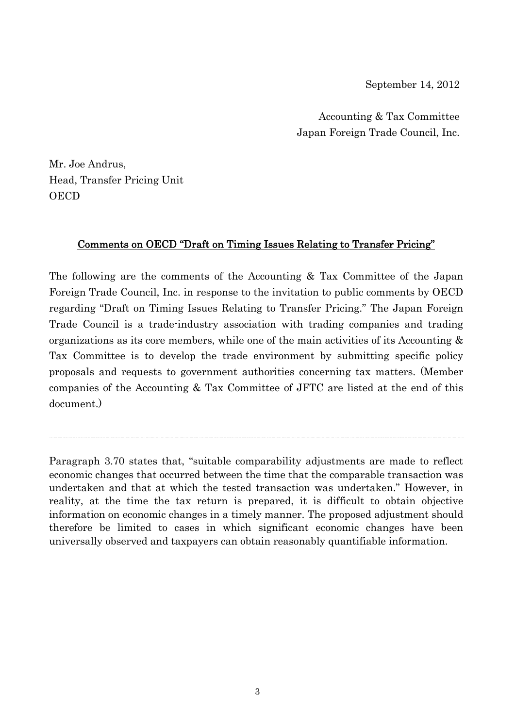September 14, 2012

Accounting & Tax Committee Japan Foreign Trade Council, Inc.

Mr. Joe Andrus, Head, Transfer Pricing Unit **OECD** 

# Comments on OECD "Draft on Timing Issues Relating to Transfer Pricing"

The following are the comments of the Accounting & Tax Committee of the Japan Foreign Trade Council, Inc. in response to the invitation to public comments by OECD regarding "Draft on Timing Issues Relating to Transfer Pricing." The Japan Foreign Trade Council is a trade-industry association with trading companies and trading organizations as its core members, while one of the main activities of its Accounting  $\&$ Tax Committee is to develop the trade environment by submitting specific policy proposals and requests to government authorities concerning tax matters. (Member companies of the Accounting & Tax Committee of JFTC are listed at the end of this document.)

Paragraph 3.70 states that, "suitable comparability adjustments are made to reflect economic changes that occurred between the time that the comparable transaction was undertaken and that at which the tested transaction was undertaken." However, in reality, at the time the tax return is prepared, it is difficult to obtain objective information on economic changes in a timely manner. The proposed adjustment should therefore be limited to cases in which significant economic changes have been universally observed and taxpayers can obtain reasonably quantifiable information.